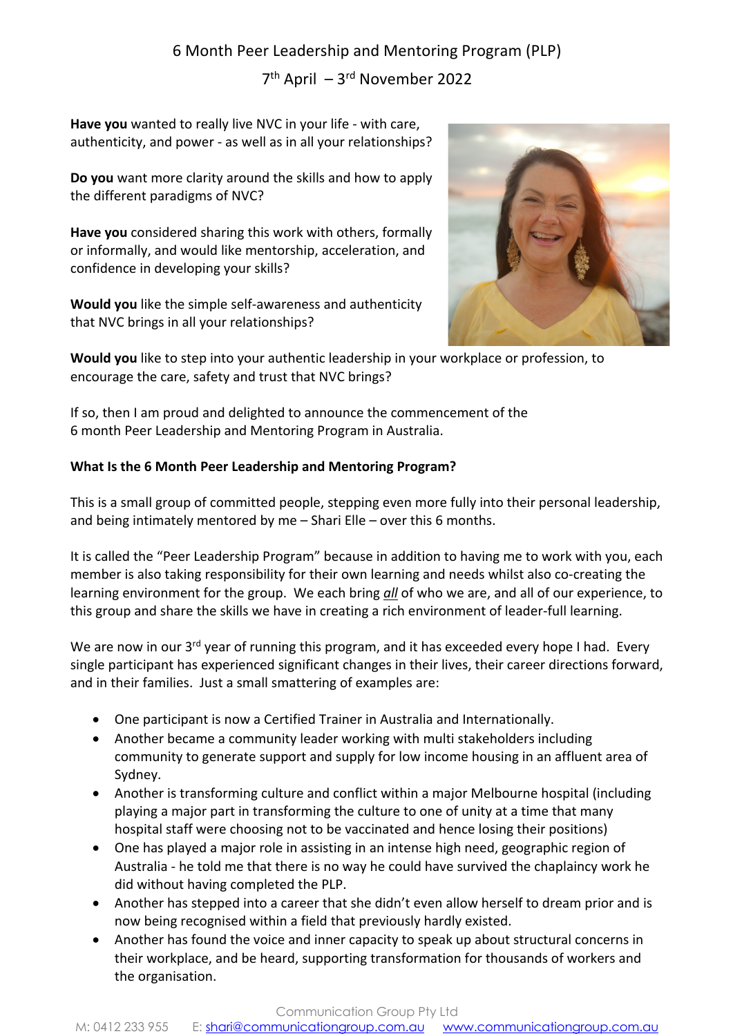# 6 Month Peer Leadership and Mentoring Program (PLP)

7th April – 3rd November 2022

**Have you** wanted to really live NVC in your life - with care, authenticity, and power - as well as in all your relationships?

**Do you** want more clarity around the skills and how to apply the different paradigms of NVC?

**Have you** considered sharing this work with others, formally or informally, and would like mentorship, acceleration, and confidence in developing your skills?

**Would you** like the simple self-awareness and authenticity that NVC brings in all your relationships?



**Would you** like to step into your authentic leadership in your workplace or profession, to encourage the care, safety and trust that NVC brings?

If so, then I am proud and delighted to announce the commencement of the 6 month Peer Leadership and Mentoring Program in Australia.

# **What Is the 6 Month Peer Leadership and Mentoring Program?**

This is a small group of committed people, stepping even more fully into their personal leadership, and being intimately mentored by me – Shari Elle – over this 6 months.

It is called the "Peer Leadership Program" because in addition to having me to work with you, each member is also taking responsibility for their own learning and needs whilst also co-creating the learning environment for the group. We each bring *all* of who we are, and all of our experience, to this group and share the skills we have in creating a rich environment of leader-full learning.

We are now in our 3<sup>rd</sup> year of running this program, and it has exceeded every hope I had. Every single participant has experienced significant changes in their lives, their career directions forward, and in their families. Just a small smattering of examples are:

- One participant is now a Certified Trainer in Australia and Internationally.
- Another became a community leader working with multi stakeholders including community to generate support and supply for low income housing in an affluent area of Sydney.
- Another is transforming culture and conflict within a major Melbourne hospital (including playing a major part in transforming the culture to one of unity at a time that many hospital staff were choosing not to be vaccinated and hence losing their positions)
- One has played a major role in assisting in an intense high need, geographic region of Australia - he told me that there is no way he could have survived the chaplaincy work he did without having completed the PLP.
- Another has stepped into a career that she didn't even allow herself to dream prior and is now being recognised within a field that previously hardly existed.
- Another has found the voice and inner capacity to speak up about structural concerns in their workplace, and be heard, supporting transformation for thousands of workers and the organisation.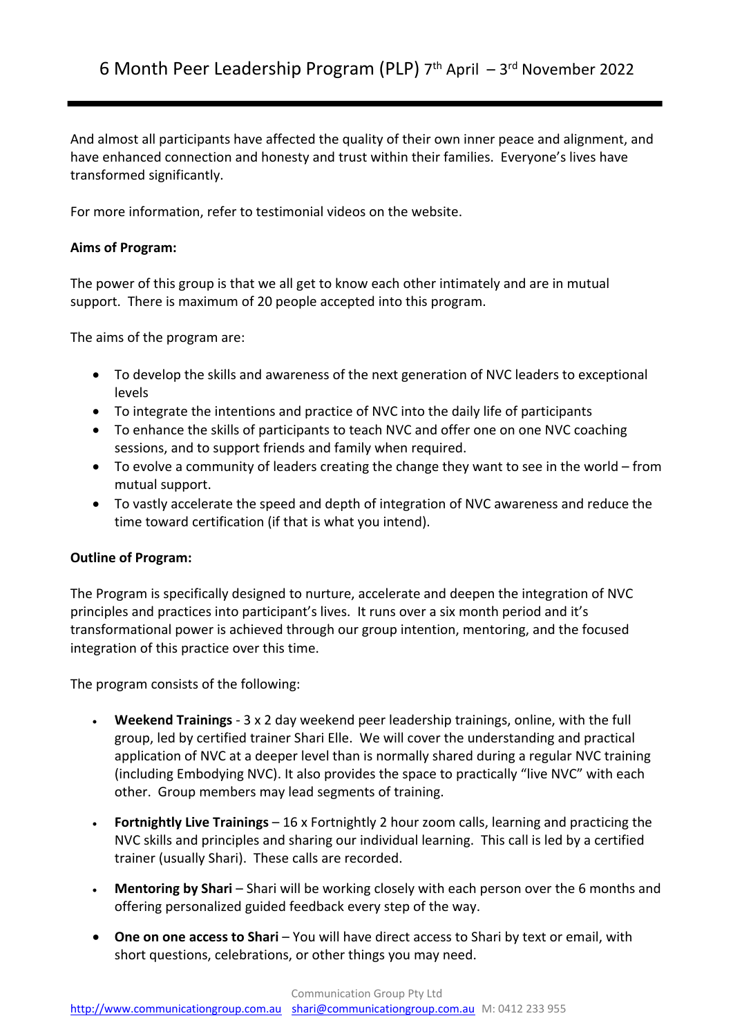And almost all participants have affected the quality of their own inner peace and alignment, and have enhanced connection and honesty and trust within their families. Everyone's lives have transformed significantly.

For more information, refer to testimonial videos on the website.

## **Aims of Program:**

The power of this group is that we all get to know each other intimately and are in mutual support. There is maximum of 20 people accepted into this program.

The aims of the program are:

- To develop the skills and awareness of the next generation of NVC leaders to exceptional levels
- To integrate the intentions and practice of NVC into the daily life of participants
- To enhance the skills of participants to teach NVC and offer one on one NVC coaching sessions, and to support friends and family when required.
- To evolve a community of leaders creating the change they want to see in the world from mutual support.
- To vastly accelerate the speed and depth of integration of NVC awareness and reduce the time toward certification (if that is what you intend).

#### **Outline of Program:**

The Program is specifically designed to nurture, accelerate and deepen the integration of NVC principles and practices into participant's lives. It runs over a six month period and it's transformational power is achieved through our group intention, mentoring, and the focused integration of this practice over this time.

The program consists of the following:

- **Weekend Trainings** 3 x 2 day weekend peer leadership trainings, online, with the full group, led by certified trainer Shari Elle. We will cover the understanding and practical application of NVC at a deeper level than is normally shared during a regular NVC training (including Embodying NVC). It also provides the space to practically "live NVC" with each other. Group members may lead segments of training.
- **Fortnightly Live Trainings** 16 x Fortnightly 2 hour zoom calls, learning and practicing the NVC skills and principles and sharing our individual learning. This call is led by a certified trainer (usually Shari). These calls are recorded.
- **Mentoring by Shari** Shari will be working closely with each person over the 6 months and offering personalized guided feedback every step of the way.
- **One on one access to Shari** You will have direct access to Shari by text or email, with short questions, celebrations, or other things you may need.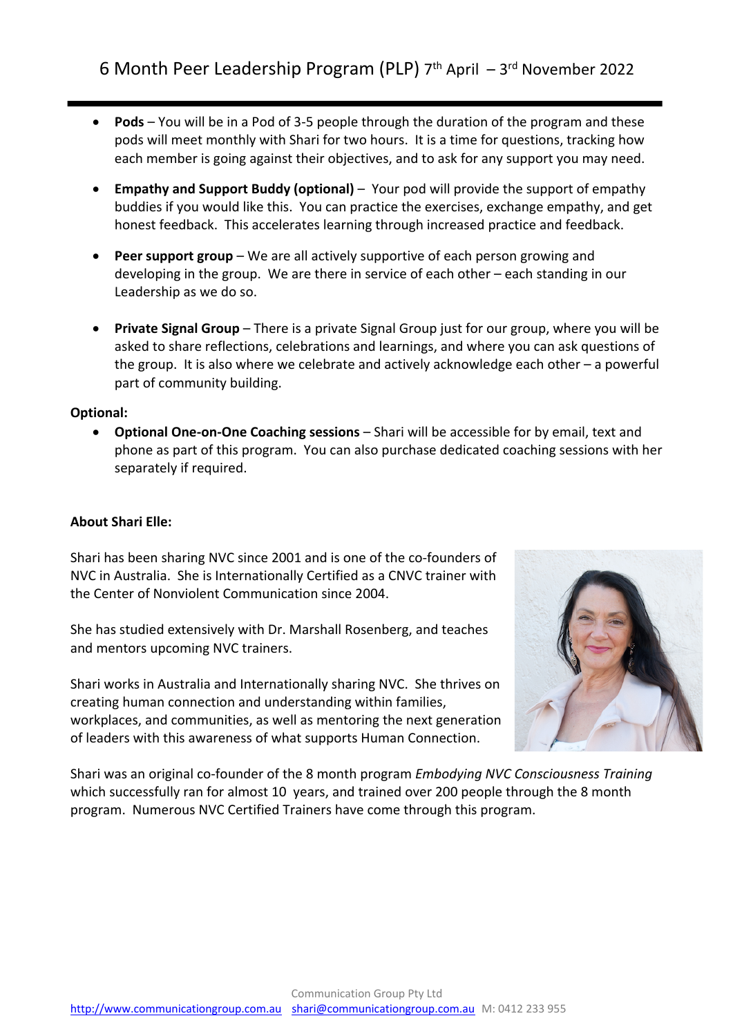- **Pods**  You will be in a Pod of 3-5 people through the duration of the program and these pods will meet monthly with Shari for two hours. It is a time for questions, tracking how each member is going against their objectives, and to ask for any support you may need.
- **Empathy and Support Buddy (optional)** Your pod will provide the support of empathy buddies if you would like this. You can practice the exercises, exchange empathy, and get honest feedback. This accelerates learning through increased practice and feedback.
- **Peer support group** We are all actively supportive of each person growing and developing in the group. We are there in service of each other – each standing in our Leadership as we do so.
- **Private Signal Group** There is a private Signal Group just for our group, where you will be asked to share reflections, celebrations and learnings, and where you can ask questions of the group. It is also where we celebrate and actively acknowledge each other – a powerful part of community building.

## **Optional:**

• **Optional One-on-One Coaching sessions** – Shari will be accessible for by email, text and phone as part of this program. You can also purchase dedicated coaching sessions with her separately if required.

## **About Shari Elle:**

Shari has been sharing NVC since 2001 and is one of the co-founders of NVC in Australia. She is Internationally Certified as a CNVC trainer with the Center of Nonviolent Communication since 2004.

She has studied extensively with Dr. Marshall Rosenberg, and teaches and mentors upcoming NVC trainers.

Shari works in Australia and Internationally sharing NVC. She thrives on creating human connection and understanding within families, workplaces, and communities, as well as mentoring the next generation of leaders with this awareness of what supports Human Connection.



Shari was an original co-founder of the 8 month program *Embodying NVC Consciousness Training* which successfully ran for almost 10 years, and trained over 200 people through the 8 month program. Numerous NVC Certified Trainers have come through this program.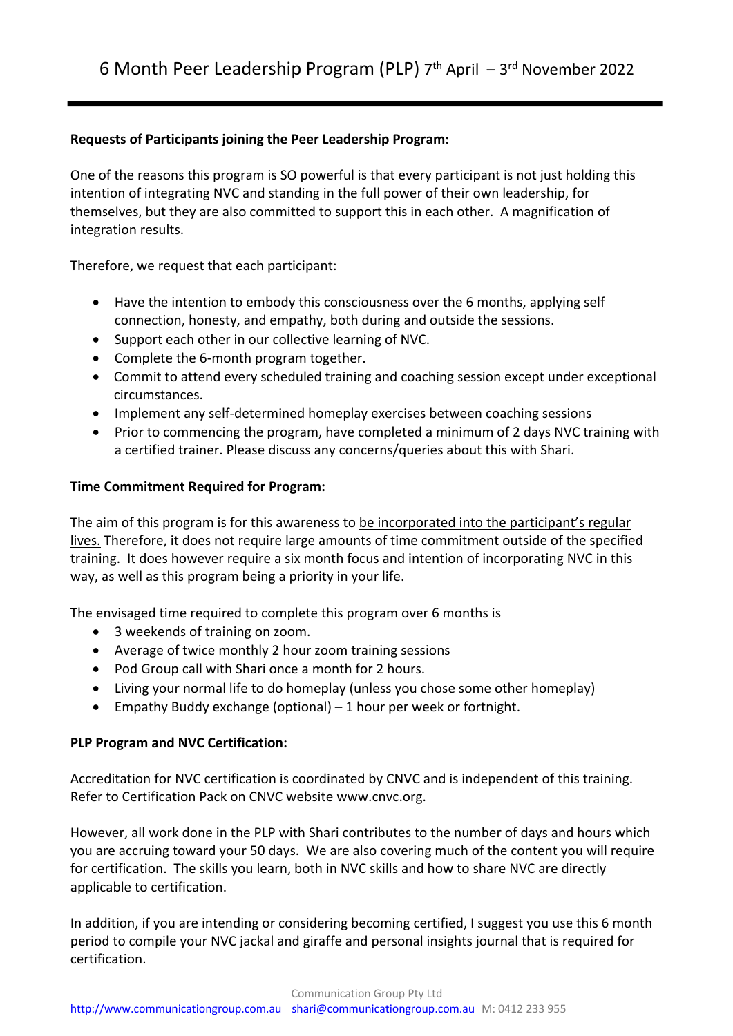# **Requests of Participants joining the Peer Leadership Program:**

One of the reasons this program is SO powerful is that every participant is not just holding this intention of integrating NVC and standing in the full power of their own leadership, for themselves, but they are also committed to support this in each other. A magnification of integration results.

Therefore, we request that each participant:

- Have the intention to embody this consciousness over the 6 months, applying self connection, honesty, and empathy, both during and outside the sessions.
- Support each other in our collective learning of NVC.
- Complete the 6-month program together.
- Commit to attend every scheduled training and coaching session except under exceptional circumstances.
- Implement any self-determined homeplay exercises between coaching sessions
- Prior to commencing the program, have completed a minimum of 2 days NVC training with a certified trainer. Please discuss any concerns/queries about this with Shari.

## **Time Commitment Required for Program:**

The aim of this program is for this awareness to be incorporated into the participant's regular lives. Therefore, it does not require large amounts of time commitment outside of the specified training. It does however require a six month focus and intention of incorporating NVC in this way, as well as this program being a priority in your life.

The envisaged time required to complete this program over 6 months is

- 3 weekends of training on zoom.
- Average of twice monthly 2 hour zoom training sessions
- Pod Group call with Shari once a month for 2 hours.
- Living your normal life to do homeplay (unless you chose some other homeplay)
- Empathy Buddy exchange (optional) 1 hour per week or fortnight.

#### **PLP Program and NVC Certification:**

Accreditation for NVC certification is coordinated by CNVC and is independent of this training. Refer to Certification Pack on CNVC website www.cnvc.org.

However, all work done in the PLP with Shari contributes to the number of days and hours which you are accruing toward your 50 days. We are also covering much of the content you will require for certification. The skills you learn, both in NVC skills and how to share NVC are directly applicable to certification.

In addition, if you are intending or considering becoming certified, I suggest you use this 6 month period to compile your NVC jackal and giraffe and personal insights journal that is required for certification.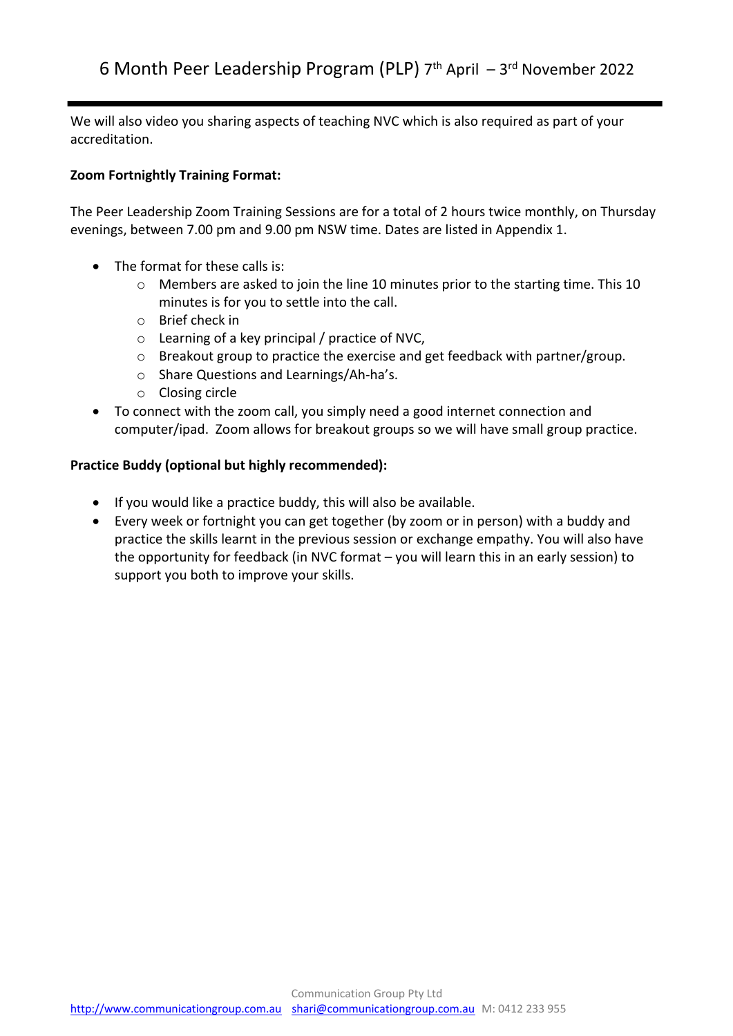We will also video you sharing aspects of teaching NVC which is also required as part of your accreditation.

# **Zoom Fortnightly Training Format:**

The Peer Leadership Zoom Training Sessions are for a total of 2 hours twice monthly, on Thursday evenings, between 7.00 pm and 9.00 pm NSW time. Dates are listed in Appendix 1.

- The format for these calls is:
	- o Members are asked to join the line 10 minutes prior to the starting time. This 10 minutes is for you to settle into the call.
	- o Brief check in
	- o Learning of a key principal / practice of NVC,
	- o Breakout group to practice the exercise and get feedback with partner/group.
	- o Share Questions and Learnings/Ah-ha's.
	- o Closing circle
- To connect with the zoom call, you simply need a good internet connection and computer/ipad. Zoom allows for breakout groups so we will have small group practice.

## **Practice Buddy (optional but highly recommended):**

- If you would like a practice buddy, this will also be available.
- Every week or fortnight you can get together (by zoom or in person) with a buddy and practice the skills learnt in the previous session or exchange empathy. You will also have the opportunity for feedback (in NVC format – you will learn this in an early session) to support you both to improve your skills.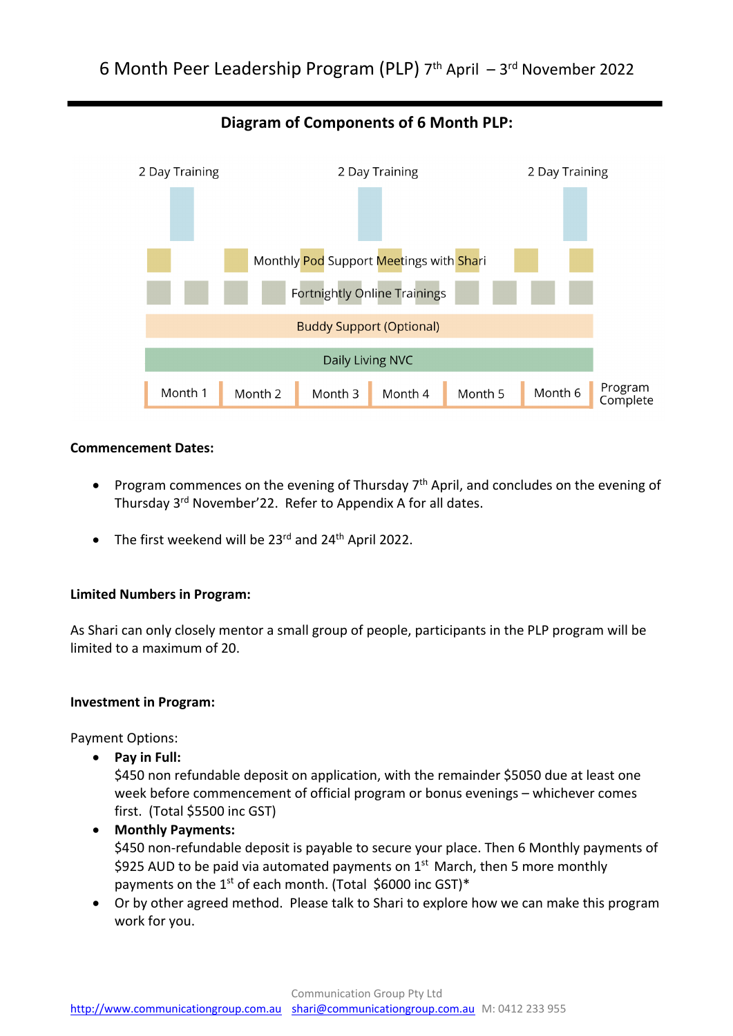

# **Diagram of Components of 6 Month PLP:**

#### **Commencement Dates:**

- Program commences on the evening of Thursday  $7<sup>th</sup>$  April, and concludes on the evening of Thursday 3<sup>rd</sup> November'22. Refer to Appendix A for all dates.
- The first weekend will be  $23^{rd}$  and  $24^{th}$  April 2022.

#### **Limited Numbers in Program:**

As Shari can only closely mentor a small group of people, participants in the PLP program will be limited to a maximum of 20.

#### **Investment in Program:**

Payment Options:

• **Pay in Full:** 

\$450 non refundable deposit on application, with the remainder \$5050 due at least one week before commencement of official program or bonus evenings – whichever comes first. (Total \$5500 inc GST)

- **Monthly Payments:**  \$450 non-refundable deposit is payable to secure your place. Then 6 Monthly payments of \$925 AUD to be paid via automated payments on  $1<sup>st</sup>$  March, then 5 more monthly payments on the  $1^{st}$  of each month. (Total \$6000 inc GST)\*
- Or by other agreed method. Please talk to Shari to explore how we can make this program work for you.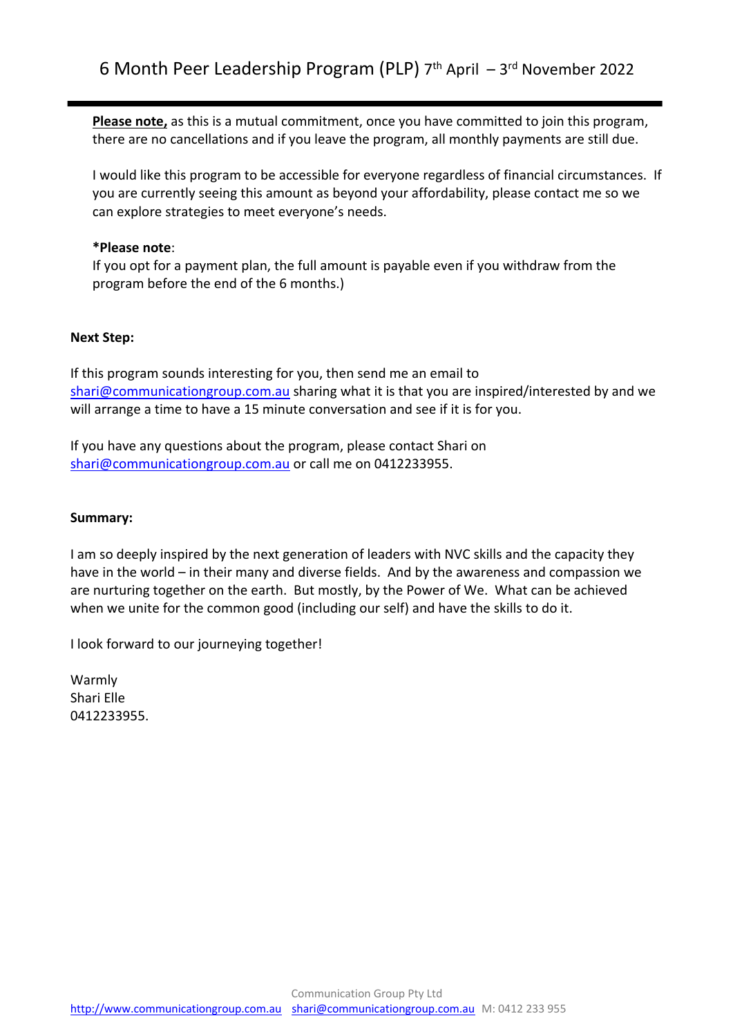**Please note,** as this is a mutual commitment, once you have committed to join this program, there are no cancellations and if you leave the program, all monthly payments are still due.

I would like this program to be accessible for everyone regardless of financial circumstances. If you are currently seeing this amount as beyond your affordability, please contact me so we can explore strategies to meet everyone's needs.

### **\*Please note**:

If you opt for a payment plan, the full amount is payable even if you withdraw from the program before the end of the 6 months.)

## **Next Step:**

If this program sounds interesting for you, then send me an email to shari@communicationgroup.com.au sharing what it is that you are inspired/interested by and we will arrange a time to have a 15 minute conversation and see if it is for you.

If you have any questions about the program, please contact Shari on shari@communicationgroup.com.au or call me on 0412233955.

#### **Summary:**

I am so deeply inspired by the next generation of leaders with NVC skills and the capacity they have in the world – in their many and diverse fields. And by the awareness and compassion we are nurturing together on the earth. But mostly, by the Power of We. What can be achieved when we unite for the common good (including our self) and have the skills to do it.

I look forward to our journeying together!

Warmly Shari Elle 0412233955.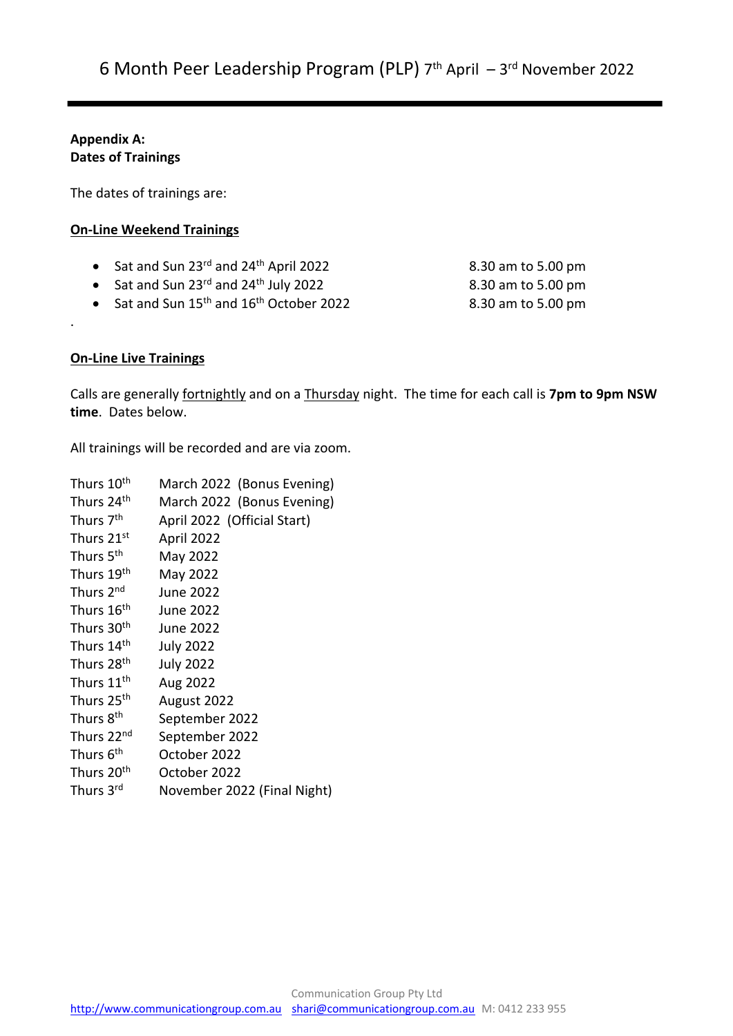## **Appendix A: Dates of Trainings**

The dates of trainings are:

## **On-Line Weekend Trainings**

- Sat and Sun 23rd and 24th April 2022 8.30 am to 5.00 pm
- Sat and Sun  $23^{rd}$  and  $24^{th}$  July 2022 8.30 am to 5.00 pm
- Sat and Sun 15<sup>th</sup> and 16<sup>th</sup> October 2022 8.30 am to 5.00 pm

# **On-Line Live Trainings**

.

Calls are generally fortnightly and on a Thursday night. The time for each call is **7pm to 9pm NSW time**. Dates below.

All trainings will be recorded and are via zoom.

| Thurs 10 <sup>th</sup> | March 2022 (Bonus Evening)  |
|------------------------|-----------------------------|
| Thurs 24 <sup>th</sup> | March 2022 (Bonus Evening)  |
| Thurs 7 <sup>th</sup>  | April 2022 (Official Start) |
| Thurs 21st             | April 2022                  |
| Thurs 5 <sup>th</sup>  | May 2022                    |
| Thurs 19th             | May 2022                    |
| Thurs 2 <sup>nd</sup>  | <b>June 2022</b>            |
| Thurs 16 <sup>th</sup> | June 2022                   |
| Thurs 30 <sup>th</sup> | June 2022                   |
| Thurs 14 <sup>th</sup> | <b>July 2022</b>            |
| Thurs 28 <sup>th</sup> | <b>July 2022</b>            |
| Thurs 11 <sup>th</sup> | Aug 2022                    |
| Thurs 25 <sup>th</sup> | August 2022                 |
| Thurs 8 <sup>th</sup>  | September 2022              |
| Thurs 22 <sup>nd</sup> | September 2022              |
| Thurs 6 <sup>th</sup>  | October 2022                |
| Thurs 20 <sup>th</sup> | October 2022                |
| Thurs 3rd              | November 2022 (Final Night) |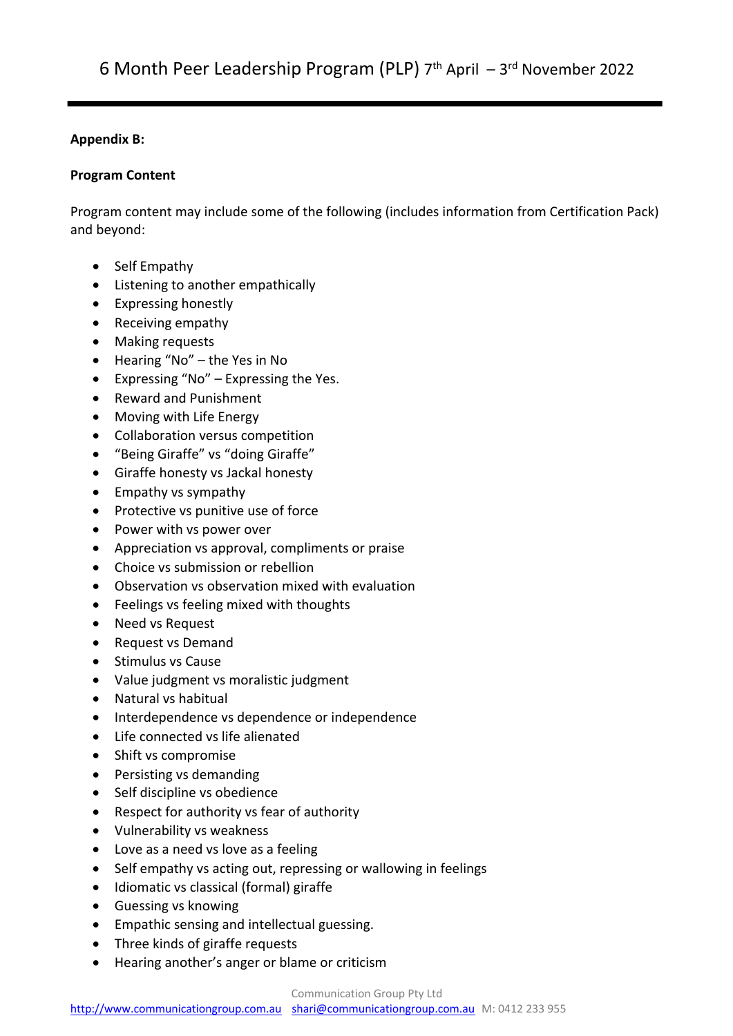## **Appendix B:**

# **Program Content**

Program content may include some of the following (includes information from Certification Pack) and beyond:

- Self Empathy
- Listening to another empathically
- Expressing honestly
- Receiving empathy
- Making requests
- Hearing "No" the Yes in No
- Expressing "No" Expressing the Yes.
- Reward and Punishment
- Moving with Life Energy
- Collaboration versus competition
- "Being Giraffe" vs "doing Giraffe"
- Giraffe honesty vs Jackal honesty
- Empathy vs sympathy
- Protective vs punitive use of force
- Power with vs power over
- Appreciation vs approval, compliments or praise
- Choice vs submission or rebellion
- Observation vs observation mixed with evaluation
- Feelings vs feeling mixed with thoughts
- Need vs Request
- Request vs Demand
- Stimulus vs Cause
- Value judgment vs moralistic judgment
- Natural vs habitual
- Interdependence vs dependence or independence
- Life connected vs life alienated
- Shift vs compromise
- Persisting vs demanding
- Self discipline vs obedience
- Respect for authority vs fear of authority
- Vulnerability vs weakness
- Love as a need vs love as a feeling
- Self empathy vs acting out, repressing or wallowing in feelings
- Idiomatic vs classical (formal) giraffe
- Guessing vs knowing
- Empathic sensing and intellectual guessing.
- Three kinds of giraffe requests
- Hearing another's anger or blame or criticism